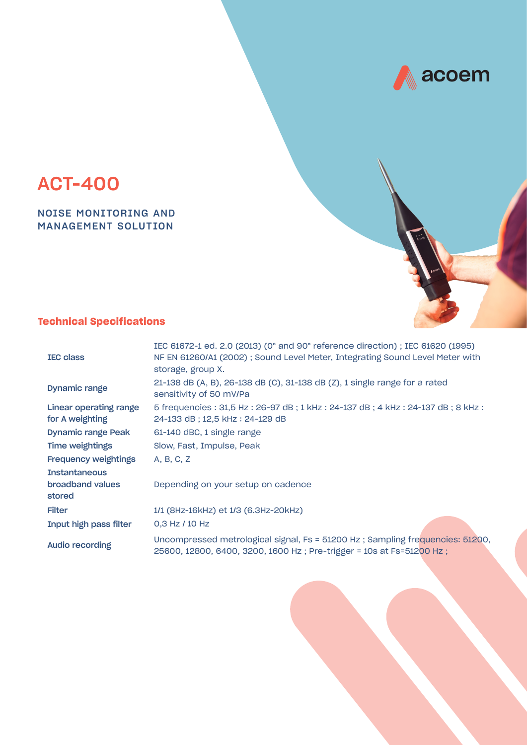



NOISE MONITORING AND MANAGEMENT SOLUTION

# **Technical Specifications**

| <b>IEC class</b>                                   | IEC 61672-1 ed. 2.0 (2013) (0° and 90° reference direction); IEC 61620 (1995)<br>NF EN 61260/A1 (2002) ; Sound Level Meter, Integrating Sound Level Meter with<br>storage, group X. |
|----------------------------------------------------|-------------------------------------------------------------------------------------------------------------------------------------------------------------------------------------|
| <b>Dynamic range</b>                               | 21-138 dB (A, B), 26-138 dB (C), 31-138 dB (Z), 1 single range for a rated<br>sensitivity of 50 mV/Pa                                                                               |
| Linear operating range<br>for A weighting          | 5 frequencies: 31,5 Hz: 26-97 dB; 1 kHz: 24-137 dB; 4 kHz: 24-137 dB; 8 kHz:<br>24-133 dB; 12,5 kHz: 24-129 dB                                                                      |
| <b>Dynamic range Peak</b>                          | 61-140 dBC, 1 single range                                                                                                                                                          |
| <b>Time weightings</b>                             | Slow, Fast, Impulse, Peak                                                                                                                                                           |
| <b>Frequency weightings</b>                        | A, B, C, Z                                                                                                                                                                          |
| <b>Instantaneous</b><br>broadband values<br>stored | Depending on your setup on cadence                                                                                                                                                  |
| <b>Filter</b>                                      | 1/1 (8Hz-16kHz) et 1/3 (6.3Hz-20kHz)                                                                                                                                                |
| Input high pass filter                             | 0,3 Hz / 10 Hz                                                                                                                                                                      |
| Audio recording                                    | Uncompressed metrological signal, Fs = 51200 Hz; Sampling frequencies: 51200,<br>25600, 12800, 6400, 3200, 1600 Hz; Pre-trigger = 10s at Fs=51200 Hz;                               |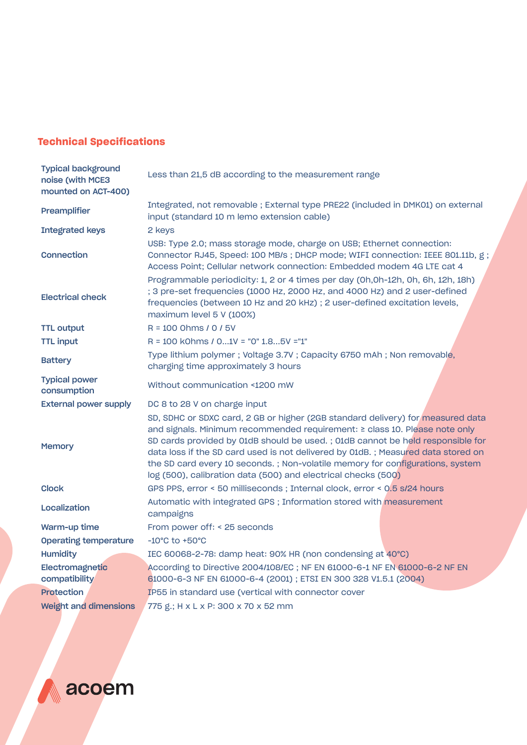## **Technical Specifications**

| <b>Typical background</b><br>noise (with MCE3<br>mounted on ACT-400) | Less than 21,5 dB according to the measurement range                                                                                                                                                                                                                                                                                                                                                                                                                                  |
|----------------------------------------------------------------------|---------------------------------------------------------------------------------------------------------------------------------------------------------------------------------------------------------------------------------------------------------------------------------------------------------------------------------------------------------------------------------------------------------------------------------------------------------------------------------------|
| Preamplifier                                                         | Integrated, not removable ; External type PRE22 (included in DMK01) on external<br>input (standard 10 m lemo extension cable)                                                                                                                                                                                                                                                                                                                                                         |
| <b>Integrated keys</b>                                               | 2 keys                                                                                                                                                                                                                                                                                                                                                                                                                                                                                |
| Connection                                                           | USB: Type 2.0; mass storage mode, charge on USB; Ethernet connection:<br>Connector RJ45, Speed: 100 MB/s; DHCP mode; WIFI connection: IEEE 801.11b, g;<br>Access Point; Cellular network connection: Embedded modem 4G LTE cat 4                                                                                                                                                                                                                                                      |
| <b>Electrical check</b>                                              | Programmable periodicity: 1, 2 or 4 times per day (0h,0h-12h, 0h, 6h, 12h, 18h)<br>; 3 pre-set frequencies (1000 Hz, 2000 Hz, and 4000 Hz) and 2 user-defined<br>frequencies (between 10 Hz and 20 kHz) ; 2 user-defined excitation levels,<br>maximum level 5 V (100%)                                                                                                                                                                                                               |
| <b>TTL output</b>                                                    | R = 100 0hms / 0 / 5V                                                                                                                                                                                                                                                                                                                                                                                                                                                                 |
| <b>TTL input</b>                                                     | R = 100 k0hms / 01V = "0" 1.85V = "1"                                                                                                                                                                                                                                                                                                                                                                                                                                                 |
| <b>Battery</b>                                                       | Type lithium polymer ; Voltage 3.7V ; Capacity 6750 mAh ; Non removable,<br>charging time approximately 3 hours                                                                                                                                                                                                                                                                                                                                                                       |
| <b>Typical power</b><br>consumption                                  | Without communication <1200 mW                                                                                                                                                                                                                                                                                                                                                                                                                                                        |
| <b>External power supply</b>                                         | DC 8 to 28 V on charge input                                                                                                                                                                                                                                                                                                                                                                                                                                                          |
| <b>Memory</b>                                                        | SD, SDHC or SDXC card, 2 GB or higher (2GB standard delivery) for measured data<br>and signals. Minimum recommended requirement: ≥ class 10. Please note only<br>SD cards provided by 01dB should be used.; 01dB cannot be held responsible for<br>data loss if the SD card used is not delivered by O1dB.; Measured data stored on<br>the SD card every 10 seconds.; Non-volatile memory for configurations, system<br>log (500), calibration data (500) and electrical checks (500) |
| <b>Clock</b>                                                         | GPS PPS, error < 50 milliseconds ; Internal clock, error < 0.5 s/24 hours                                                                                                                                                                                                                                                                                                                                                                                                             |
| Localization                                                         | Automatic with integrated GPS ; Information stored with measurement<br>campaigns                                                                                                                                                                                                                                                                                                                                                                                                      |
| Warm-up time                                                         | From power off: < 25 seconds                                                                                                                                                                                                                                                                                                                                                                                                                                                          |
| <b>Operating temperature</b>                                         | $-10^{\circ}$ C to $+50^{\circ}$ C                                                                                                                                                                                                                                                                                                                                                                                                                                                    |
| <b>Humidity</b>                                                      | IEC 60068-2-78: damp heat: 90% HR (non condensing at 40°C)                                                                                                                                                                                                                                                                                                                                                                                                                            |
| Electromagnetic<br>compatibility                                     | According to Directive 2004/108/EC ; NF EN 61000-6-1 NF EN 61000-6-2 NF EN<br>61000-6-3 NF EN 61000-6-4 (2001) ; ETSI EN 300 328 V1.5.1 (2004)                                                                                                                                                                                                                                                                                                                                        |
| <b>Protection</b>                                                    | IP55 in standard use (vertical with connector cover                                                                                                                                                                                                                                                                                                                                                                                                                                   |
| <b>Weight and dimensions</b>                                         | 775 g.; H x L x P: 300 x 70 x 52 mm                                                                                                                                                                                                                                                                                                                                                                                                                                                   |

acoem